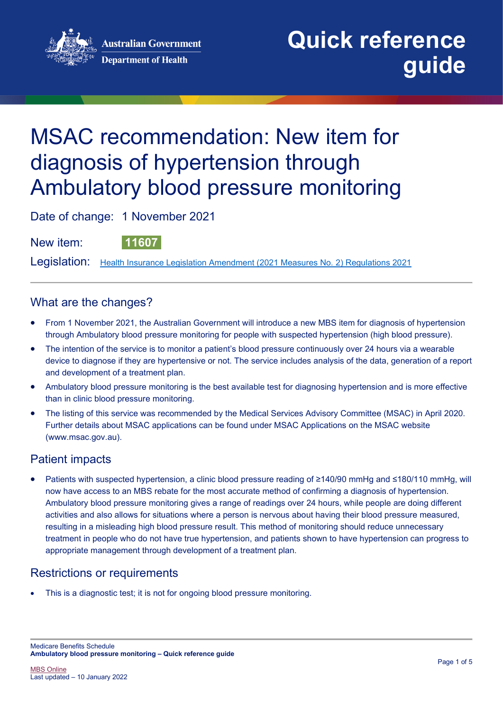**Australian Government Department of Health** 



# MSAC recommendation: New item for diagnosis of hypertension through Ambulatory blood pressure monitoring

Date of change: 1 November 2021

New item: **11607**

Legislation: [Health Insurance Legislation Amendment \(2021 Measures No. 2\) Regulations 2021](https://www.legislation.gov.au/Details/F2021L01281)

## What are the changes?

- From 1 November 2021, the Australian Government will introduce a new MBS item for diagnosis of hypertension through Ambulatory blood pressure monitoring for people with suspected hypertension (high blood pressure).
- The intention of the service is to monitor a patient's blood pressure continuously over 24 hours via a wearable device to diagnose if they are hypertensive or not. The service includes analysis of the data, generation of a report and development of a treatment plan.
- Ambulatory blood pressure monitoring is the best available test for diagnosing hypertension and is more effective than in clinic blood pressure monitoring.
- The listing of this service was recommended by the Medical Services Advisory Committee (MSAC) in April 2020. Further details about MSAC applications can be found under [MSAC Applications](http://www.msac.gov.au/internet/msac/publishing.nsf/Content/application-page) on the MSAC website [\(www.msac.gov.au\)](http://www.msac.gov.au/).

## Patient impacts

• Patients with suspected hypertension, a clinic blood pressure reading of ≥140/90 mmHg and ≤180/110 mmHg, will now have access to an MBS rebate for the most accurate method of confirming a diagnosis of hypertension. Ambulatory blood pressure monitoring gives a range of readings over 24 hours, while people are doing different activities and also allows for situations where a person is nervous about having their blood pressure measured, resulting in a misleading high blood pressure result. This method of monitoring should reduce unnecessary treatment in people who do not have true hypertension, and patients shown to have hypertension can progress to appropriate management through development of a treatment plan.

## Restrictions or requirements

This is a diagnostic test; it is not for ongoing blood pressure monitoring.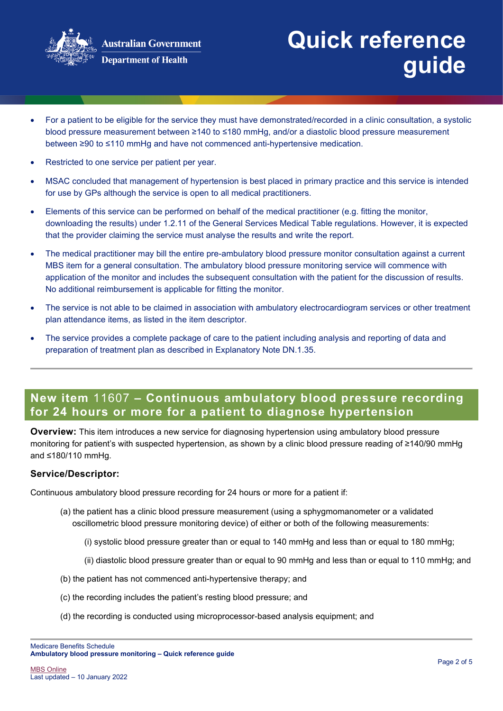

- For a patient to be eligible for the service they must have demonstrated/recorded in a clinic consultation, a systolic blood pressure measurement between ≥140 to ≤180 mmHg, and/or a diastolic blood pressure measurement between ≥90 to ≤110 mmHg and have not commenced anti-hypertensive medication.
- Restricted to one service per patient per year.
- MSAC concluded that management of hypertension is best placed in primary practice and this service is intended for use by GPs although the service is open to all medical practitioners.
- Elements of this service can be performed on behalf of the medical practitioner (e.g. fitting the monitor, downloading the results) under 1.2.11 of the General Services Medical Table regulations. However, it is expected that the provider claiming the service must analyse the results and write the report.
- The medical practitioner may bill the entire pre-ambulatory blood pressure monitor consultation against a current MBS item for a general consultation. The ambulatory blood pressure monitoring service will commence with application of the monitor and includes the subsequent consultation with the patient for the discussion of results. No additional reimbursement is applicable for fitting the monitor.
- The service is not able to be claimed in association with ambulatory electrocardiogram services or other treatment plan attendance items, as listed in the item descriptor.
- The service provides a complete package of care to the patient including analysis and reporting of data and preparation of treatment plan as described in Explanatory Note DN.1.35.

## **New item** 11607 **– Continuous ambulatory blood pressure recording for 24 hours or more for a patient to diagnose hypertension**

**Overview:** This item introduces a new service for diagnosing hypertension using ambulatory blood pressure monitoring for patient's with suspected hypertension, as shown by a clinic blood pressure reading of ≥140/90 mmHg and ≤180/110 mmHg.

#### **Service/Descriptor:**

Continuous ambulatory blood pressure recording for 24 hours or more for a patient if:

- (a) the patient has a clinic blood pressure measurement (using a sphygmomanometer or a validated oscillometric blood pressure monitoring device) of either or both of the following measurements:
	- (i) systolic blood pressure greater than or equal to 140 mmHg and less than or equal to 180 mmHg;
	- (ii) diastolic blood pressure greater than or equal to 90 mmHg and less than or equal to 110 mmHg; and
- (b) the patient has not commenced anti-hypertensive therapy; and
- (c) the recording includes the patient's resting blood pressure; and
- (d) the recording is conducted using microprocessor-based analysis equipment; and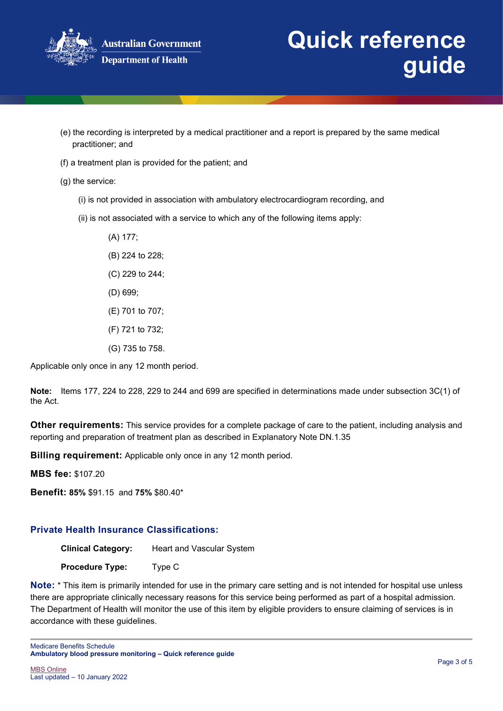

- (e) the recording is interpreted by a medical practitioner and a report is prepared by the same medical practitioner; and
- (f) a treatment plan is provided for the patient; and

(g) the service:

- (i) is not provided in association with ambulatory electrocardiogram recording, and
- (ii) is not associated with a service to which any of the following items apply:
	- (A) 177; (B) 224 to 228; (C) 229 to 244; (D) 699;
	- (E) 701 to 707;
	- (F) 721 to 732;
	- (G) 735 to 758.

Applicable only once in any 12 month period.

**Note:** Items 177, 224 to 228, 229 to 244 and 699 are specified in determinations made under subsection 3C(1) of the Act.

**Other requirements:** This service provides for a complete package of care to the patient, including analysis and reporting and preparation of treatment plan as described in Explanatory Note DN.1.35

**Billing requirement:** Applicable only once in any 12 month period.

**MBS fee:** \$107.20

**Benefit: 85%** \$91.15 and **75%** \$80.40\*

### **Private Health Insurance Classifications:**

**Clinical Category:** Heart and Vascular System

**Procedure Type:** Type C

**Note:** \* This item is primarily intended for use in the primary care setting and is not intended for hospital use unless there are appropriate clinically necessary reasons for this service being performed as part of a hospital admission. The Department of Health will monitor the use of this item by eligible providers to ensure claiming of services is in accordance with these guidelines.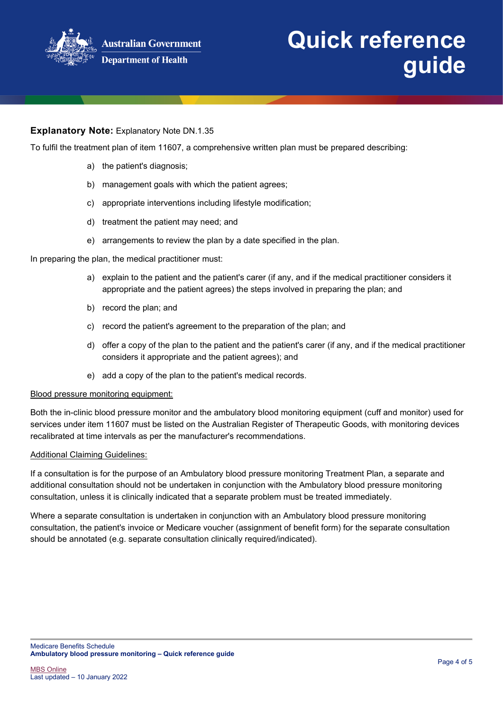

### **Explanatory Note:** Explanatory Note DN.1.35

To fulfil the treatment plan of item 11607, a comprehensive written plan must be prepared describing:

- a) the patient's diagnosis;
- b) management goals with which the patient agrees;
- c) appropriate interventions including lifestyle modification;
- d) treatment the patient may need; and
- e) arrangements to review the plan by a date specified in the plan.

In preparing the plan, the medical practitioner must:

- a) explain to the patient and the patient's carer (if any, and if the medical practitioner considers it appropriate and the patient agrees) the steps involved in preparing the plan; and
- b) record the plan; and
- c) record the patient's agreement to the preparation of the plan; and
- d) offer a copy of the plan to the patient and the patient's carer (if any, and if the medical practitioner considers it appropriate and the patient agrees); and
- e) add a copy of the plan to the patient's medical records.

#### Blood pressure monitoring equipment:

Both the in-clinic blood pressure monitor and the ambulatory blood monitoring equipment (cuff and monitor) used for services under item 11607 must be listed on the Australian Register of Therapeutic Goods, with monitoring devices recalibrated at time intervals as per the manufacturer's recommendations.

#### Additional Claiming Guidelines:

If a consultation is for the purpose of an Ambulatory blood pressure monitoring Treatment Plan, a separate and additional consultation should not be undertaken in conjunction with the Ambulatory blood pressure monitoring consultation, unless it is clinically indicated that a separate problem must be treated immediately.

Where a separate consultation is undertaken in conjunction with an Ambulatory blood pressure monitoring consultation, the patient's invoice or Medicare voucher (assignment of benefit form) for the separate consultation should be annotated (e.g. separate consultation clinically required/indicated).